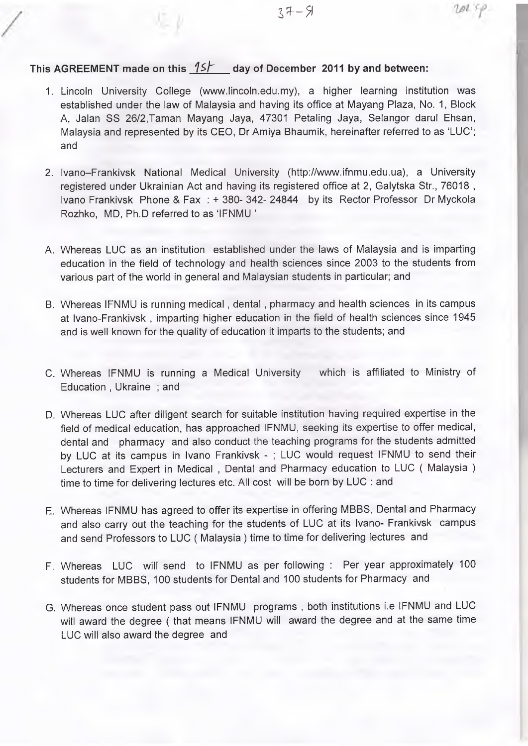*f*

# **This AGREEMENT made on this** *Ish* **day of December 2011 by and between:**

- 1. Lincoln University College [\(www.lincoln.edu.my\)](http://www.lincoln.edu.my), a higher learning institution was established under the law of Malaysia and having its office at Mayang Plaza, No. 1, Block A, Jalan SS 26/2,Taman Mayang Jaya, 47301 Petaling Jaya, Selangor darul Ehsan, Malaysia and represented by its CEO, Dr Amiya Bhaumik, hereinafter referred to as 'LUC'; and
- 2. Ivano-Frankivsk National Medical University ([http://www.ifnmu.edu.ua\)](http://www.ifnmu.edu.ua), a University registered under Ukrainian Act and having its registered office at 2, Galytska Str., 76018 , Ivano Frankivsk Phone & Fax ; + 380- 342- 24844 by its Rector Professor Dr Myckola Rozhko, MD, Ph.D referred to as 'IFNMU '
- A. Whereas LUC as an institution established under the laws of Malaysia and is imparting education in the field of technology and health sciences since 2003 to the students from various part of the world in general and Malaysian students in particular; and
- B. Whereas IFNMU is running medical , dental , pharmacy and health sciences in its campus at Ivano-Frankivsk , imparting higher education in the field of health sciences since 1945 and is well known for the quality of education it imparts to the students; and
- C. Whereas IFNMU is running a Medical University which is affiliated to Ministry of Education , Ukraine ; and
- D. Whereas LUC after diligent search for suitable institution having required expertise in the field of medical education, has approached IFNMU, seeking its expertise to offer medical, dental and pharmacy and also conduct the teaching programs for the students admitted by LUC at its campus in Ivano Frankivsk - ; LUC would request IFNMU to send their Lecturers and Expert in Medical , Dental and Pharmacy education to LUC ( Malaysia ) time to time for delivering lectures etc. All cost will be born by LUC : and
- E. Whereas IFNMU has agreed to offer its expertise in offering MBBS, Dental and Pharmacy and also carry out the teaching for the students of LUC at its Ivano- Frankivsk campus and send Professors to LUC ( Malaysia ) time to time for delivering lectures and
- F. Whereas LUC will send to IFNMU as per following : Per year approximately 100 students for MBBS, 100 students for Dental and 100 students for Pharmacy and
- G. Whereas once student pass out IFNMU programs , both institutions i.e IFNMU and LUC will award the degree ( that means IFNMU will award the degree and at the same time LUC will also award the degree and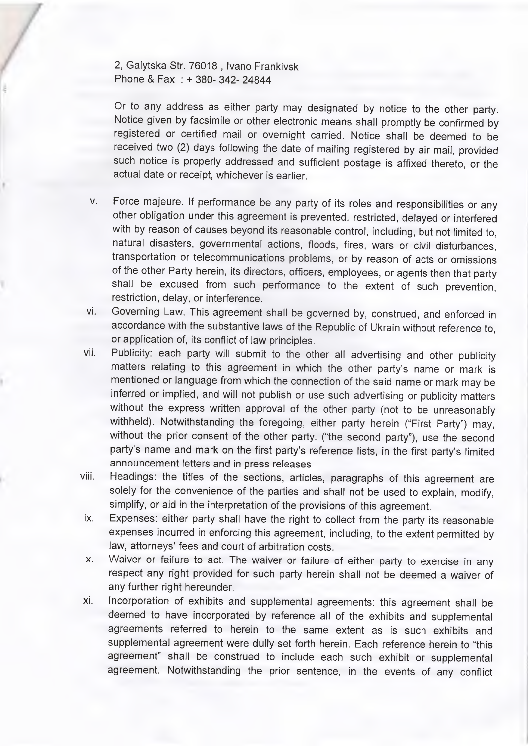2, Galytska Str. 76018 , Ivano Frankivsk Phone & Fax ; + 380- 342- 24844

Or to any address as either party may designated by notice to the other party. Notice given by facsimile or other electronic means shall promptly be confirmed by registered or certified mail or overnight carried. Notice shall be deemed to be received two (2) days following the date of mailing registered by air mail, provided such notice is properly addressed and sufficient postage is affixed thereto, or the actual date or receipt, whichever is earlier.

- **V.** Force majeure. If performance be any party of its roles and responsibilities or any other obligation under this agreement is prevented, restricted, delayed or interfered with by reason of causes beyond its reasonable control, including, but not limited to, natural disasters, governmental actions, floods, fires, wars or civil disturbances, transportation or telecommunications problems, or by reason of acts or omissions of the other Party herein, its directors, officers, employees, or agents then that party shall be excused from such performance to the extent of such prevention, restriction, delay, or interference.
- **Vi.** Governing Law. This agreement shall be governed by, construed, and enforced in accordance with the substantive laws of the Republic of Ukrain without reference to, or application of, its conflict of law principles.
- vii. Publicity: each party will submit to the other all advertising and other publicity matters relating to this agreement in which the other party's name or mark is mentioned or language from which the connection of the said name or mark may be inferred or implied, and will not publish or use such advertising or publicity matters without the express written approval of the other party (not to be unreasonably withheld). Notwithstanding the foregoing, either party herein ("First Party") may, without the prior consent of the other party, ("the second party"), use the second party's name and mark on the first party's reference lists, in the first party's limited announcement letters and in press releases
- viii. Headings: the titles of the sections, articles, paragraphs of this agreement are solely for the convenience of the parties and shall not be used to explain, modify, simplify, or aid in the interpretation of the provisions of this agreement.
- ix. Expenses: either party shall have the right to collect from the party its reasonable expenses incurred in enforcing this agreement, including, to the extent permitted by law, attorneys' fees and court of arbitration costs.
- **X.** Waiver or failure to act. The waiver or failure of either party to exercise in any respect any right provided for such party herein shall not be deemed a waiver of any further right hereunder.
- xi. Incorporation of exhibits and supplemental agreements: this agreement shall be deemed to have incorporated by reference all of the exhibits and supplemental agreements referred to herein to the same extent as is such exhibits and supplemental agreement were dully set forth herein. Each reference herein to "this agreement" shall be construed to include each such exhibit or supplemental agreement. Notwithstanding the prior sentence, in the events of any conflict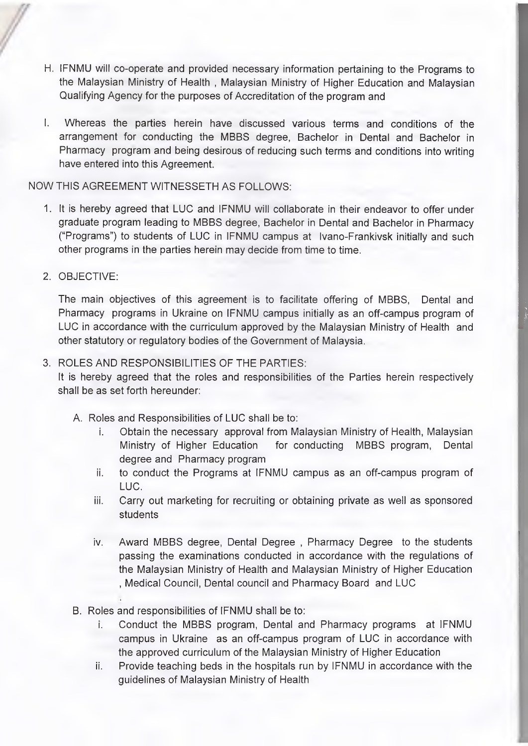- H. IFNMU will co-operate and provided necessary information pertaining to the Programs to the Malaysian Ministry of Health, Malaysian Ministry of Higher Education and Malaysian Qualifying Agency for the purposes of Accreditation of the program and
- I. Whereas the parties herein have discussed various terms and conditions of the arrangement for conducting the MBBS degree, Bachelor in Dental and Bachelor in Pharmacy program and being desirous of reducing such terms and conditions into writing have entered into this Agreement.

#### NOW THIS AGREEMENT WITNESSETH AS FOLLOWS:

- 1. It is hereby agreed that LUC and IFNMU will collaborate in their endeavor to offer under graduate program leading to MBBS degree. Bachelor in Dental and Bachelor in Pharmacy ("Programs") to students of LUC in IFNMU campus at Ivano-Frankivsk initially and such other programs in the parties herein may decide from time to time.
- 2. OBJECTIVE:

The main objectives of this agreement is to facilitate offering of MBBS, Dental and Pharmacy programs in Ukraine on IFNMU campus initially as an off-campus program of LUC in accordance with the curriculum approved by the Malaysian Ministry of Health and other statutory or regulatory bodies of the Government of Malaysia.

### 3. ROLES AND RESPONSIBILITIES OF THE PARTIES:

It is hereby agreed that the roles and responsibilities of the Parties herein respectively shall be as set forth hereunder:

- A. Roles and Responsibilities of LUC shall be to:
	- i. Obtain the necessary approval from Malaysian Ministry of Health, Malaysian Ministry of Higher Education for conducting MBBS program. Dental degree and Pharmacy program
	- ii. to conduct the Programs at IFNMU campus as an off-campus program of LUC.
	- iii. Carry out marketing for recruiting or obtaining private as well as sponsored students
	- iv. Award MBBS degree. Dental Degree , Pharmacy Degree to the students passing the examinations conducted in accordance with the regulations of the Malaysian Ministry of Health and Malaysian Ministry of Higher Education , Medical Council, Dental council and Pharmacy Board and LUC
- B. Roles and responsibilities of IFNMU shall be to:
	- i. Conduct the MBBS program. Dental and Pharmacy programs at IFNMU campus in Ukraine as an off-campus program of LUC in accordance with the approved curriculum of the Malaysian Ministry of Higher Education
	- ii. Provide teaching beds in the hospitals run by IFNMU in accordance with the guidelines of Malaysian Ministry of Health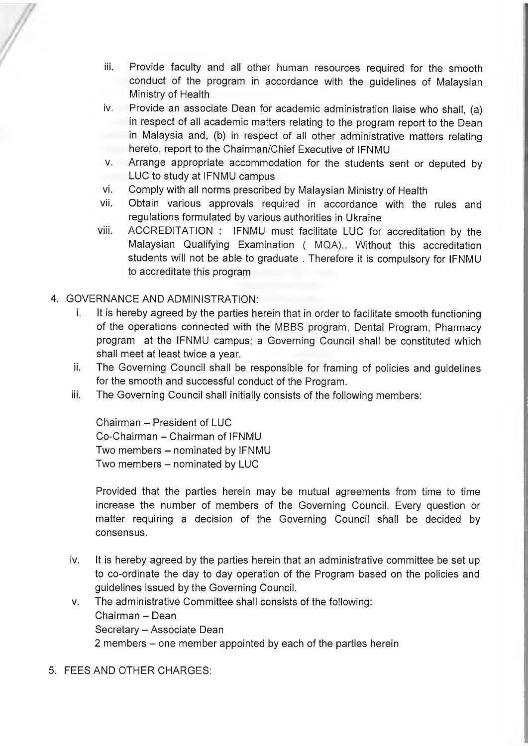- iii. Provide faculty and all other human resources required for the smooth conduct of the program in accordance with the guidelines of Malaysian Ministry of Health
- iv. Provide an associate Dean for academic administration liaise who shall, (a) in respect of all academic matters relating to the program report to the Dean in Malaysia and, (b) in respect of all other administrative matters relating hereto, report to the Chairman/Chief Executive of IFNMU
- **V.** Arrange appropriate accommodation for the students sent or deputed by LUC to study at IFNMU campus
- vi. Comply with all norms prescribed by Malaysian Ministry of Health
- vii. Obtain various approvals required in accordance with the rules and regulations formulated by various authorities in Ukraine
- viii. ACCREDITATION : IFNMU must facilitate LUC for accreditation by the Malaysian Qualifying Examination ( MQA).. Without this accreditation students will not be able to graduate . Therefore it is compulsory for IFNMU to accreditate this program
- 4. GOVERNANCE AND ADMINISTRATION:
	- i. It is hereby agreed by the parties herein that in order to facilitate smooth functioning of the operations connected with the MBBS program. Dental Program, Pharmacy program at the IFNMU campus; a Governing Council shall be constituted which shall meet at least twice a year.
	- ii. The Governing Council shall be responsible for framing of policies and guidelines for the smooth and successful conduct of the Program.
	- iii. The Governing Council shall initially consists of the following members:

Chairman - President of LUC Co-Chairman - Chairman of IFNMU Two members - nominated by IFNMU Two members - nominated by LUC

Provided that the parties herein may be mutual agreements from time to time increase the number of members of the Governing Council. Every question or matter requiring a decision of the Governing Council shall be decided by consensus.

- iv. It is hereby agreed by the parties herein that an administrative committee be set up to co-ordinate the day to day operation of the Program based on the policies and guidelines issued by the Governing Council.
- **V.** The administrative Committee shall consists of the following: Chairman - Dean Secretary - Associate Dean 2 members – one member appointed by each of the parties herein
- 5. FEES AND OTHER CHARGES: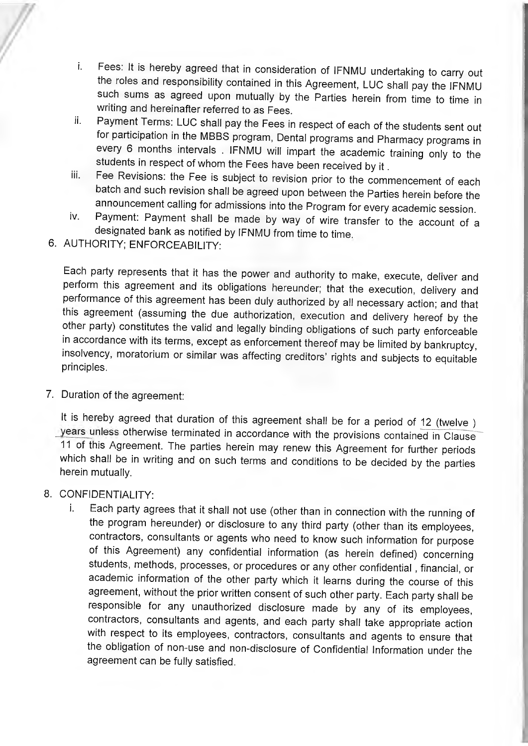- i. Fees: It is hereby agreed that in consideration of IFNMU undertaking to carry out the roles and responsibility contained in this Agreement, LUC shall pay the IFNMU such sums as agreed upon mutually by the Parties herein from time to time in writing and hereinafter referred to as Fees.
- ii. Payment Terms: LUC shall pay the Fees in respect of each of the students sent out for participation in the MBBS program. Dental programs and Pharmacy programs in every 6 months intervals . IFNMU will impart the academic training only to the students in respect of whom the Fees have been received by it.
- iii. Fee Revisions: the Fee is subject to revision prior to the commencement of each batch and such revision shall be agreed upon between the Parties herein before the announcement calling for admissions into the Program for every academic session.
- iv. Payment: Payment shall be made by way of wire transfer to the account of a designated bank as notified by IFNMU from time to time

6. AUTHORITY: ENFORCEABILITY:

Each party represents that it has the power and authority to make, execute, deliver and perform this agreement and its obligations hereunder; that the execution, delivery and performance of this agreement has been duly authorized by all necessary action; and that this agreement (assuming the due authorization, execution and delivery hereof by the other party) constitutes the valid and legally binding obligations of such party enforceable in accordance with its terms, except as enforcement thereof may be limited by bankruptcy, insolvency, moratorium or similar was affecting creditors' rights and subjects to equitable principles.

7. Duration of the agreement:

It is hereby agreed that duration of this agreement shall be for a period of 12 (twelve ) years unless otherwise terminated in accordance with the provisions contained in Clause 11 of this Agreement. The parties herein may renew this Agreement for further periods which shall be in writing and on such terms and conditions to be decided by the parties herein mutually.

- 8. CONFIDENTIALITY:
	- i. Each party agrees that it shall not use (other than in connection with the running of the program hereunder) or disclosure to any third party (other than its employees, contractors, consultants or agents who need to know such information for purpose of this Agreement) any confidential information (as herein defined) concerning students, methods, processes, or procedures or any other confidential, financial, or academic information of the other party which it learns during the course of this agreement, without the prior written consent of such other party. Each party shall be responsible for any unauthorized disclosure made by any of its employees, contractors, consultants and agents, and each party shall take appropriate action with respect to its employees, contractors, consultants and agents to ensure that the obligation of non-use and non-disclosure of Confidential Information under the agreement can be fully satisfied.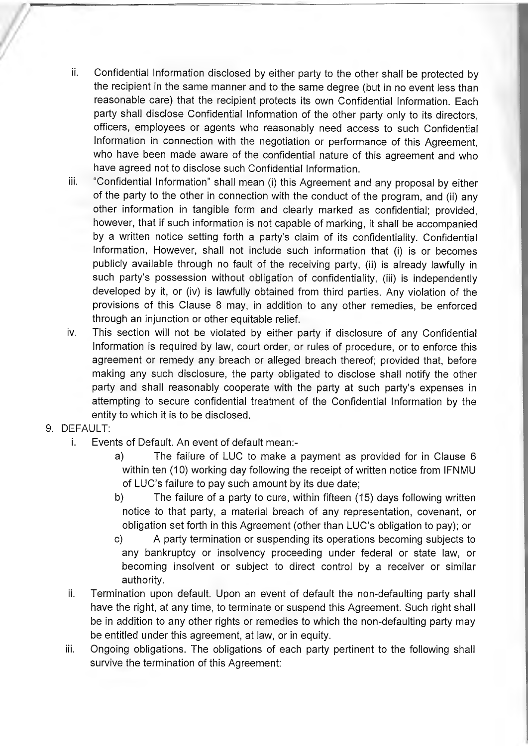- ii. Confidential Information disclosed by either party to the other shall be protected by the recipient in the same manner and to the same degree (but in no event less than reasonable care) that the recipient protects its own Confidential Information. Each party shall disclose Confidential Information of the other party only to its directors, officers, employees or agents who reasonably need access to such Confidential Information in connection with the negotiation or performance of this Agreement, who have been made aware of the confidential nature of this agreement and who have agreed not to disclose such Confidential Information.
- iii. "Confidential Information" shall mean (i) this Agreement and any proposal by either of the party to the other in connection with the conduct of the program, and (ii) any other information in tangible form and clearly marked as confidential; provided, however, that if such information is not capable of marking, it shall be accompanied by a written notice setting forth a party's claim of its confidentiality. Confidential Information, However, shall not include such information that (i) is or becomes publicly available through no fault of the receiving party, (ii) is already lawfully in such party's possession without obligation of confidentiality, (iii) is independently developed by it, or (iv) is lawfully obtained from third parties. Any violation of the provisions of this Clause 8 may, in addition to any other remedies, be enforced through an injunction or other equitable relief.
- iv. This section will not be violated by either party if disclosure of any Confidential Information is required by law, court order, or rules of procedure, or to enforce this agreement or remedy any breach or alleged breach thereof; provided that, before making any such disclosure, the party obligated to disclose shall notify the other party and shall reasonably cooperate with the party at such party's expenses in attempting to secure confidential treatment of the Confidential Information by the entity to which it is to be disclosed.
- 9. DEFAULT:
	- i. Events of Default. An event of default mean:
		- a) The failure of LUC to make a payment as provided for in Clause 6 within ten (10) working day following the receipt of written notice from IFNMU of LUC'S failure to pay such amount by its due date;
		- b) The failure of a party to cure, within fifteen (15) days following written notice to that party, a material breach of any representation, covenant, or obligation set forth in this Agreement (other than LUC's obligation to pay); or
		- c) A party termination or suspending its operations becoming subjects to any bankruptcy or insolvency proceeding under federal or state law, or becoming insolvent or subject to direct control by a receiver or similar authority.
	- ii. Termination upon default. Upon an event of default the non-defaulting party shall have the right, at any time, to terminate or suspend this Agreement. Such right shall be in addition to any other rights or remedies to which the non-defaulting party may be entitled under this agreement, at law, or in equity.
	- iii. Ongoing obligations. The obligations of each party pertinent to the following shall survive the termination of this Agreement: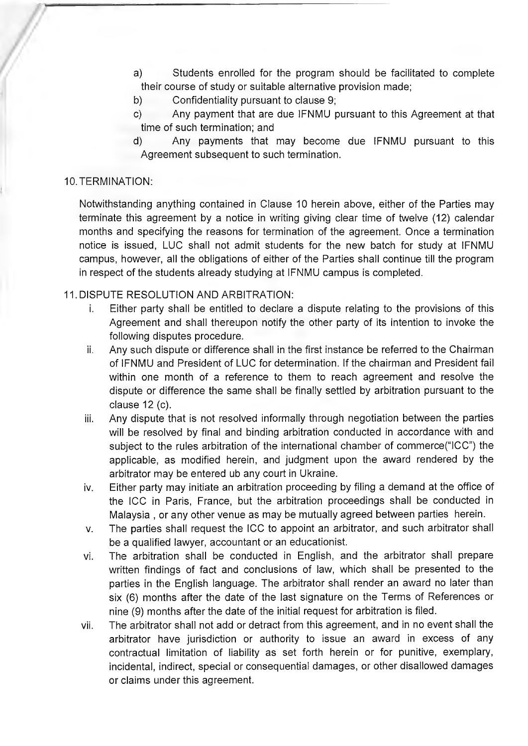- a) Students enrolled for the program should be facilitated to complete their course of study or suitable alternative provision made;
- b) Confidentiality pursuant to clause 9;
- c) Any payment that are due IFNMU pursuant to this Agreement at that time of such termination; and
- d) Any payments that may become due IFNMU pursuant to this Agreement subsequent to such termination.

#### 10.TERMINATION:

Notwithstanding anything contained in Clause 10 herein above, either of the Parties may terminate this agreement by a notice in writing giving clear time of twelve (12) calendar months and specifying the reasons for termination of the agreement. Once a termination notice is issued, LUC shall not admit students for the new batch for study at IFNMU campus, however, all the obligations of either of the Parties shall continue till the program in respect of the students already studying at IFNMU campus is completed.

#### 11. DISPUTE RESOLUTION AND ARBITRATION:

- i. Either party shall be entitled to declare a dispute relating to the provisions of this Agreement and shall thereupon notify the other party of its intention to invoke the following disputes procedure.
- ii. Any such dispute or difference shall in the first instance be referred to the Chairman of IFNMU and President of LUC for determination. If the chairman and President fail within one month of a reference to them to reach agreement and resolve the dispute or difference the same shall be finally settled by arbitration pursuant to the clause 12 (c).
- iii. Any dispute that is not resolved informally through negotiation between the parties will be resolved by final and binding arbitration conducted in accordance with and subject to the rules arbitration of the international chamber of commerce("ICC") the applicable, as modified herein, and judgment upon the award rendered by the arbitrator may be entered ub any court in Ukraine.
- iv. Either party may initiate an arbitration proceeding by filing a demand at the office of the ICC in Paris, France, but the arbitration proceedings shall be conducted in Malaysia , or any other venue as may be mutually agreed between parties herein.
- **V.** The parties shall request the ICC to appoint an arbitrator, and such arbitrator shall be a qualified lawyer, accountant or an educationist.
- vi. The arbitration shall be conducted in English, and the arbitrator shall prepare written findings of fact and conclusions of law, which shall be presented to the parties in the English language. The arbitrator shall render an award no later than six (6) months after the date of the last signature on the Terms of References or nine (9) months after the date of the initial request for arbitration is filed.
- vii. The arbitrator shall not add or detract from this agreement, and in no event shall the arbitrator have jurisdiction or authority to issue an award in excess of any contractual limitation of liability as set forth herein or for punitive, exemplary, incidental, indirect, special or consequential damages, or other disallowed damages or claims under this agreement.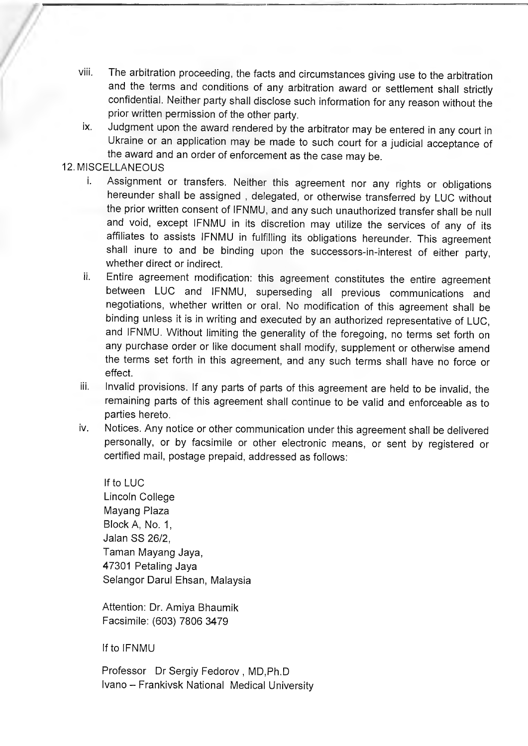- viii. The arbitration proceeding, the facts and circumstances giving use to the arbitration and the terms and conditions of any arbitration award or settlement shall strictly confidential. Neither party shall disclose such information for any reason without the prior written permission of the other party.
- ix. Judgment upon the award rendered by the arbitrator may be entered in any court in Ukraine or an application may be made to such court for a judicial acceptance of the award and an order of enforcement as the case may be.

## 12. MISCELLANEOUS

- i. Assignment or transfers. Neither this agreement nor any rights or obligations hereunder shall be assigned , delegated, or otherwise transferred by LUC without the prior written consent of IFNMU, and any such unauthorized transfer shall be null and void, except IFNMU in its discretion may utilize the services of any of its affiliates to assists IFNMU in fulfilling its obligations hereunder. This agreement shall inure to and be binding upon the successors-in-interest of either party, whether direct or indirect.
- ii. Entire agreement modification: this agreement constitutes the entire agreement between LUC and IFNMU, superseding all previous communications and negotiations, whether written or oral. No modification of this agreement shall be binding unless it is in writing and executed by an authorized representative of LUC, and IFNMU. Without limiting the generality of the foregoing, no terms set forth on any purchase order or like document shall modify, supplement or otherwise amend the terms set forth in this agreement, and any such terms shall have no force or effect.
- iii. Invalid provisions. If any parts of parts of this agreement are held to be invalid, the remaining parts of this agreement shall continue to be valid and enforceable as to parties hereto.
- iv. Notices. Any notice or other communication under this agreement shall be delivered personally, or by facsimile or other electronic means, or sent by registered or certified mail, postage prepaid, addressed as follows:

If to LUC Lincoln College Mayang Plaza Block A, No. 1, Jalan SS 26/2, Taman Mayang Jaya, 47301 Petaling Jaya Selangor Darul Ehsan, Malaysia

Attention: Dr. Amiya Bhaumik Facsimile: (603) 7806 3479

If to IFNMU

Professor Dr Sergiy Fedorov , MD,Ph.D Ivano - Frankivsk National Medical University